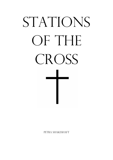# STATIONS OF THE CROSS

PETRA SHAKESHAFT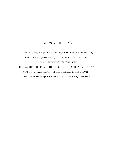### Stations of the Cross

The following is a set of meditations, scripture and prayers, which recall Jesus' final journey towards the Cross, his death and what it might mean to pray that journey in the world and for the world today. YOU CAN USE ALL OR PART OF THE MATERIAL IN THIS BOOKLET, The images are all drawings by Eric Gill and are available in many places online.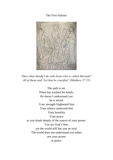The First Station:



*'Then what should I do with Jesus who is called Messiah?' All of them said 'Let him be crucified' (Matthew 27:22)*

The path is set. Pilate has washed his hands. He doesn't understand you he is afraid. Your strength frightened him Your silence unnerved him Your humility Your peace as you drank deeply of the source of your power. You are God's Son, yet the world still has you on trial. The world does not understand you either nor your power or peace.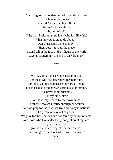Your Kingdom is not determined by worldly values; the hunger for power the need for just another million, the desire for celebrity, the cult of self. If the world asks anything it is, 'why is it like this? What are you going to do about it? Don't just stand there silently.' Silent Jesus, give us the grace to stand tall in the face of the ridicule of the world. Give us strength not to bend to worldly glory.

\*\*\*

We pray for all those who suffer injustice. For those who are persecuted for their faith. For those victimised because they are different, For those displaced by war, earthquake or famine. We pray for all prisoners For asylum seekers For those imprisoned by their own mind. For those who seek justice through our courts. And we pray for those whose lives are so dysfunctional They cannot stay out of prison. We pray for those bullied and badgered by unfair systems, And those who live under the tyranny of cruel regimes. In your silence Lord, give us the voice to speak for the voiceless The courage to reach out where we see injustice. Amen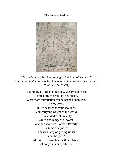# The Second Station:



*The soldiers mocked him, saying, 'Hail King of the Jews!' They spat on him and mocked him and led him away to be crucified. (Matthew 27: 29-31)*

> Your body is torn and bleeding, Weary and worn; Thorns driven deep into your head. What more humiliation can be heaped upon you? Ah the cross! It lies heavily on your shoulder. You carry the weight of the world. Humankind's inhumanity, Greed and hunger for power. War and violence, Sorrow, Poverty, Systems of injustice, The rich keep on getting richer and the poor? Ah, we will have them with us always. But not you. Your path is set.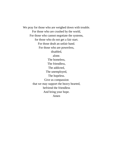We pray for those who are weighed down with trouble. For those who are crushed by the world, For those who cannot negotiate the systems, for those who do not get a fair start. For those dealt an unfair hand. For those who are powerless, disabled, alone. The homeless, The friendless, The addicted, The unemployed, The hopeless. Give us compassion that we may support the heavy hearted, befriend the friendless And bring your hope. Amen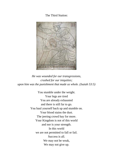The Third Station:



*He was wounded for our transgressions, crushed for our iniquities; upon him was the punishment that made us whole. (Isaiah 53:5)*

You stumble under the weight. Your legs are tired You are already exhausted and there is still far to go. You haul yourself back up and stumble on. Your blood stains the dust. The jeering crowd bay for more. Your Kingdom is not of this world and nor is your strength. In this world we are not permitted to fall or fail. Success is all. We may not be weak, We may not give up.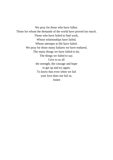We pray for those who have fallen. Those for whom the demands of the world have proved too much. Those who have failed to find work, Whose relationships have failed, Whose attempts at life have failed. We pray for those many failures we have endured, The many things we have failed to do, The things we failed to say. Give to us all the strength, the courage and hope to get up and try again. To know that even when we fail your love does not fail us. Amen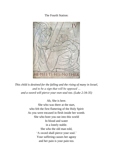# The Fourth Station:



*This child is destined for the falling and the rising of many in Israel, and to be a sign that will be opposed … and a sword will pierce your own soul too. (Luke 2:34-35)*

Ah, She is here.

She who was there at the start, who felt the first fluttering of the Holy Spirit As you were encased in flesh inside her womb. She who bore you out into this world In blood and water in a lonely stable. She who the old man told, 'A sword shall pierce your soul.' Your suffering causes her agony and her pain is your pain too.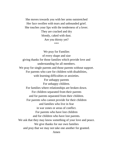She moves towards you with her arms outstretched Her face swollen with tears and unbounded grief. She touches your lips with the tenderness of a lover. They are cracked and dry bloody, caked with dust. Are you thirsty yet? \*\*\*

We pray for Families of every shape and size giving thanks for those families which provide love and understanding for all members. We pray for single parents and those parents without support. For parents who care for children with disabilities, with learning difficulties or anxieties. For unhappy parents For unhappy children. For families where relationships are broken down. For children separated from their parents and for parents separated from their children. For parents who cannot provide for their children and families who live in fear in war zones or areas of conflict. For parents who have lost children and for children who have lost parents. We ask that they may know something of your love and peace. We give thanks for our own families and pray that we may not take one another for granted. Amen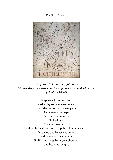# The Fifth Station:



*If any want to become my followers, let them deny themselves and take up their cross and follow me. (Matthew 16:24)*

He appears from the crowd. Pushed by some unseen hands. He is dark – not from these parts. A Cyrenean, perhaps. He is tall and muscular He hesitates. His eyes meet yours and there is an almost imperceptible sign between you. You stop and lower your eyes and he walks towards you. He lifts the cross from your shoulder. and bears its weight.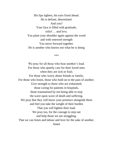His lips tighten, his eyes fixed ahead. He is defiant, determined. And you? Your face is filled with gratitude, relief … and love. You plant your shoulder again against the wood and with renewed strength You move forward together. He is another who knows not what he is doing

\*\*\*

We pray for all those who bear another's load. For those who quietly care for their loved ones when they are sick or frail; For those who worry about friends or family, For those who listen, those who hold on to the pain of another. Give strength to those who are exhausted; those caring for patients in hospitals, those traumatised by not being able to stop the wave upon wave of death and suffering. We pray that they will know your presence alongside them and feel you take the weight of their burden That you will lighten their load. We pray too, for the courage to step out and help those we see struggling. That we can listen and labour and love for the sake of another. Amen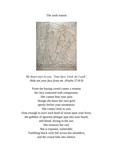# The sixth station



*My heart says to you, 'Your face, Lord, do I seek'. Hide not your face from me. (Psalm 27:8-9)*

From the baying crowd comes a woman her face contorted with compassion. She cannot bear your pain though she bears her own grief openly before your tormentors. She comes close to you; close enough to trace each bead of sweat upon your brow, the gobbets of ignorant phlegm spat into your beard, and blood, drying in the sun. She removes her veil. She is exposed, vulnerable. Tumbling black curls fall across her shoulders, and the crowd falls into silence.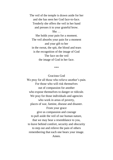The veil of the temple is drawn aside for her and she has seen her God face-to-face. Tenderly she offers the veil in her hand and presses it to your grateful brow.

She …

She holds your pain for a moment. The veil absorbs your pain for a moment and your gift to her in the sweat, the spit, the blood and tears is the recognition of the image of God The face on the veil the image of God in her face.

\*\*\*

Gracious God

We pray for all those who relieve another's pain. For those who will risk themselves out of compassion for another who expose themselves to danger or ridicule. We pray for those individuals and agencies who work in areas of poverty, places of war, famine, disease and disaster. From your grace give us compassion and courage to pull aside the veil of our human nature, that we may bear a resemblance to you, to leave behind comfort, security and obscurity to step out and relieve the pain of others remembering that each one bears your image. Amen.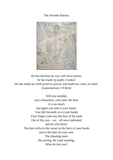The Seventh Station:



*He has blocked my way with hewn stones, he has made my paths crooked. He has made my teeth grind on gravel, and made me cower in ashes. (Lamentations 3:9 &16)*

> Still you stumble, your exhaustion, your pain, the heat. it is too much and again you sink to your knees. You fall forwards on to your hands Your fingers sink into the dust of the earth Out of this you – we – all were fashioned and all will return. The dust sticks to the sweat on the back of your hands and to the hairs on your arm. The shouting starts the jeering, the cruel taunting, What do they see?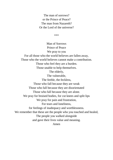The man of sorrows? or the Prince of Peace? The man from Nazareth? Or the Lord of the universe?

\*\*\*

Man of Sorrows Prince of Peace We pray to you For all those who the world believes are fallen away, Those who the world believes cannot make a contribution. Those who feel they are a burden. Those unable to help themselves. The elderly, The vulnerable, The feeble, the feckless, Those who fall because they are weak Those who fall because they are disorientated Those who fall because they are alone. We pray for bruised bodies, for cut knees and split lips We pray for pain and frustration, For tears and loneliness, for feelings of inadequacy and worthlessness. We remember that these are the people who you touched and healed, The people you walked alongside and gave their lives value and meaning. Amen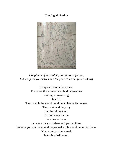# The Eighth Station



*Daughters of Jerusalem, do not weep for me, but weep for yourselves and for your children. (Luke 23:28)*

He spies them in the crowd. These are the women who huddle together wailing, arm-waving, fearful. They watch the world but do not change its course. They wail and they cry but they do not act. Do not weep for me he cries to them, but weep for yourselves and your children because you are doing nothing to make this world better for them. Your compassion is real, but it is misdirected.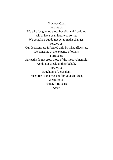Gracious God, forgive us We take for granted those benefits and freedoms which have been hard won for us. We complain but do not act to make changes. Forgive us. Our decisions are informed only by what affects us. We consume at the expense of others. Forgive us Our paths do not cross those of the most vulnerable; we do not speak on their behalf. Forgive us. Daughters of Jerusalem, Weep for yourselves and for your children, Weep for us. Father, forgive us. Amen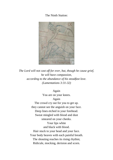# The Ninth Station:



*The Lord will not cast off for ever, but, though he cause grief, he will have compassion, according to the abundance of his steadfast love. (Lamentations 3:31-32)*

> Again You are on your knees. Again The crowd cry out for you to get up. they cannot see the anguish on your face. Deep lines etched in your forehead. Sweat mingled with blood and dust smeared on your cheeks. Your lips white and black with blood. Hair stuck to your head and your face. Your body heaves with each painful breath. The shouting reaches its rising rhythm; Ridicule, mocking, derision and scorn.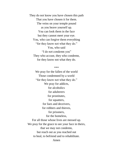They do not know you have chosen this path That you have chosen it for them. The veins on your temple pound as you heave yourself up. You can look them in the face but they cannot meet your eye. You, who can forgive them everything "for they know not what they do." You, who said "I do not condemn you" They who accuse, they who condemn, for they know not what they do.

#### \*\*\*

We pray for the fallen of the world Those condemned by a world "for they know not what they do." We pray for addicts, for alcoholics for adulterers for prostitutes, for squatters, for liars and deceivers, for robbers and thieves, for prisoners, for the homeless, For all those whose lives are messed up. We pray for the grace to see your face in theirs, that we may not condemn, but reach out as you reached out to heal, to befriend and to rehabilitate. Amen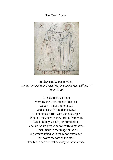# The Tenth Station



*So they said to one another, 'Let us not tear it, but cast lots for it to see who will get it.' (John 19:24)*

The seamless garment worn by the High Priest of heaven, woven from a single thread and stuck with blood and sweat to shoulders scarred with vicious stripes. What do they care as they strip it from you? What do they see of your humiliation; A naked Adam preparing to return to paradise? A man made in the image of God? A garment soiled with the blood outpoured, but worth the toss of the dice. The blood can be washed away without a trace.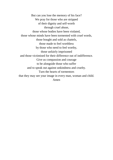But can you lose the memory of his face? We pray for those who are stripped of their dignity and self-worth through cruel abuse, those whose bodies have been violated, those whose minds have been tormented with cruel words, those bought and sold as chattels, those made to feel worthless by those who need to feel worthy, those unfairly imprisoned and those victimised for their difference out of indifference. Give us compassion and courage to be alongside those who suffer and to speak out against unkindness and cruelty. Turn the hearts of tormentors that they may see your image in every man, woman and child. Amen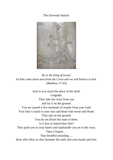The Eleventh Station:



*He is the King of Israel; let him come down now from the Cross and we will believe in him. (Matthew 27:42)*

And so you reach the place of the skull. Golgotha. They take the cross from you and lay it on the ground. You are spared a few moments of respite from your load. Your hair is stuck to your face and head with sweat and blood. They spit on the ground. You do not flinch but stare at them. Is it fear or hatred they feel? They push you to your knees and manhandle you on to the cross. Then it begins … That dreadful pounding … blow after blow as they hammer the nails into your hands and feet.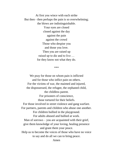At first you wince with each strike But then - then perhaps the pain is so overwhelming; the blows are indistinguishable. Your eyes are closed closed against the day against the pain against the crowd Those who despise you and those you love. Then you are raised up raised up to die and to live … for they know not what they do.

\*\*\*

We pray for those on whom pain is inflicted and for those who inflict pain on others. For the victims of war, the maimed and injured, the dispossessed, the refugee, the orphaned child, the childless parent. For prisoners of conscience, those tortured for their beliefs. For those involved in street violence and gang warfare. For partners, parents and children who abuse one another. For children bullied in the playground. For adults abused and bullied at work. Man of sorrows  $-$  you are acquainted with their grief, give them knowledge of your loving, healing presence and grant them your peace. Help us to become the voices of those who have no voice to say and do all we can to bring peace. Amen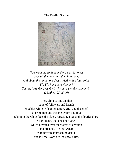# The Twelfth Station



*Now from the sixth hour there was darkness over all the land until the ninth hour. And about the ninth hour Jesus cried with a loud voice, "Eli, Eli, lama sabachthani?" That is, "My God, my God, why have you forsaken me?" (Matthew 27:45-46)*

They cling to one another pairs of followers and friends knuckles white with anticipation, grief and disbelief. Your mother and the one whom you love taking in the white face, the black, retreating eyes and colourless lips. Your breath, that ancient *Ruach*, which hovered over the waters of creation and breathed life into Adam is faint with approaching death, but still the Word of God speaks life.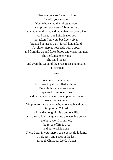'Woman your son' - and to him 'Behold, your mother.' You, who called the thirsty to you, who promised rivers of living water, now you are thirsty, and they give you sour wine. And then, your Spirit leaves you not taken from you, but freely given breathed at last as a gift for all humankind. A soldier pierces your side with a spear and from the wound flows blood and water mingled. The perfumed one wails. The wind moans and even the wood of the cross rasps and groans. It is finished.

\*\*\*

We pray for the dying. For those in pain or filled with fear. Be with those who are alone separated from loved ones and those who have no one to pray for them, except as we pray. We pray for those who wait, who watch and pray. Support us, O Lord, all the day long of this troublous life, until the shadows lengthen and the evening comes, the busy world is hushed, the fever of life is over and our work is done. Then, Lord, in your mercy grant us a safe lodging, a holy rest, and peace at the last; through Christ our Lord. Amen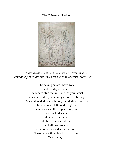The Thirteenth Station:



*When evening had come …Joseph of Arimathea … went boldly to Pilate and asked for the body of Jesus (Mark 15:42-43)*

> The baying crowds have gone and the day is cooler. The breeze stirs the linen around your waist and even the dusty hairs on your oh-so-still legs. Dust and mud, dust and blood, mingled on your feet Those who are left huddle together unable to take their eyes from you. Filled with disbelief it is over for them. All the dreams unfulfilled and all that remains is dust and ashes and a lifeless corpse. There is one thing left to do for you. One final gift.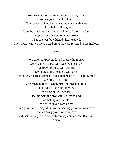And so your body is received into loving arms. At last your brow is wiped, Your blood-stained hair is washed clean with tears And the hair, still fragrant from the precious ointment wiped away from your feet, is spread across you in great sorrow. They are lost, bewildered, disorientated. They must wait two more days before they are restored to themselves.

\*\*\*

We offer our prayers for all those who mourn We weep with those who weep with sorrow. We pray for those who are lost, bewildered, disorientated with grief, for those who are accompanying someone on their final journey. We pray for all those who must do those 'last things' for ones they love. For those arranging funerals, carrying out last wishes, dealing with the physicalities left behind, or making memorials. We offer up our own griefs and pray that we may all know the healing power of your love the restoring power of your love and that nothing in life or death can separate us from that love. Amen.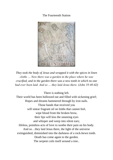# The Fourteenth Station



*They took the body of Jesus and wrapped it with the spices in linen cloths … Now there was a garden in the place where he was crucified, and in the garden there was a new tomb in which no one had ever been laid. And so … they laid Jesus there. (John 19:40-42)*

There is nothing left.

Their world has been hollowed out and filled with sickening grief; Hopes and dreams hammered through by iron nails. Those hands that received you will smear fragrant oil on limbs that cannot feel, wipe blood from the broken brow, their lips will kiss the unseeing eyes and whisper and weep into silent ears; lifeless, pointless acts of love to soothe their pain on his body. And so…they laid Jesus there, the light of the universe extinguished, diminished into the darkness of a rock-hewn tomb. Death has come again to the garden. The serpent coils itself around a tree..